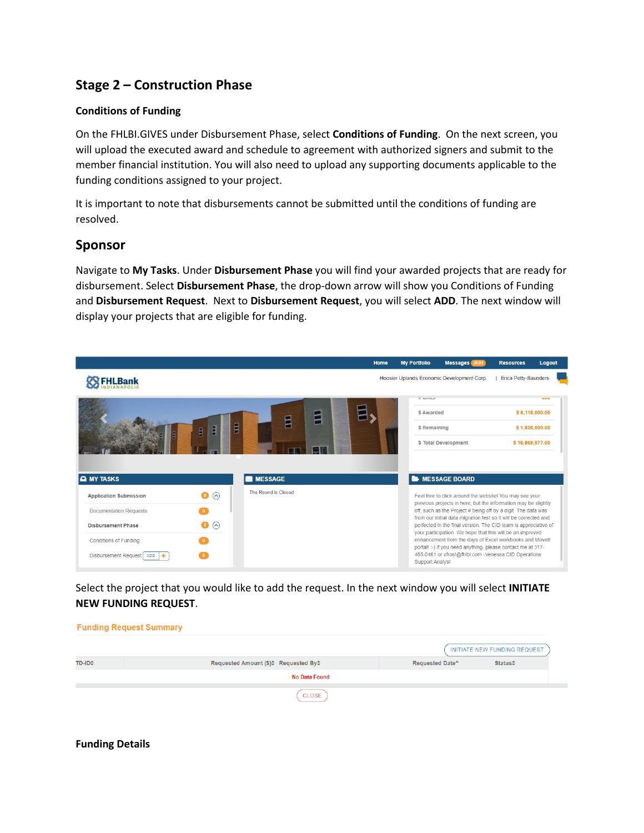# **Stage 2 – Construction Phase**

## **Conditions of Funding**

On the FHLBI.GIVES under Disbursement Phase, select **Conditions of Funding**. On the next screen, you will upload the executed award and schedule to agreement with authorized signers and submit to the member financial institution. You will also need to upload any supporting documents applicable to the funding conditions assigned to your project.

It is important to note that disbursements cannot be submitted until the conditions of funding are resolved.

## **Sponsor**

Navigate to **My Tasks**. Under **Disbursement Phase** you will find your awarded projects that are ready for disbursement. Select **Disbursement Phase**, the drop-down arrow will show you Conditions of Funding and **Disbursement Request**. Next to **Disbursement Request**, you will select **ADD**. The next window will display your projects that are eligible for funding.



Select the project that you would like to add the request. In the next window you will select **INITIATE NEW FUNDING REQUEST**.

|               | <b>Funding Request Summary</b>       |                      |                             |                              |
|---------------|--------------------------------------|----------------------|-----------------------------|------------------------------|
|               |                                      |                      |                             | INITIATE NEW FUNDING REQUEST |
| <b>TD-ID≑</b> | Requested Amount (\$)≑ Requested By≑ |                      | Requested Date <sup>*</sup> | <b>Status</b> <sup>#</sup>   |
|               |                                      | <b>No Data Found</b> |                             |                              |
|               |                                      | CLOSE                |                             |                              |

### **Funding Details**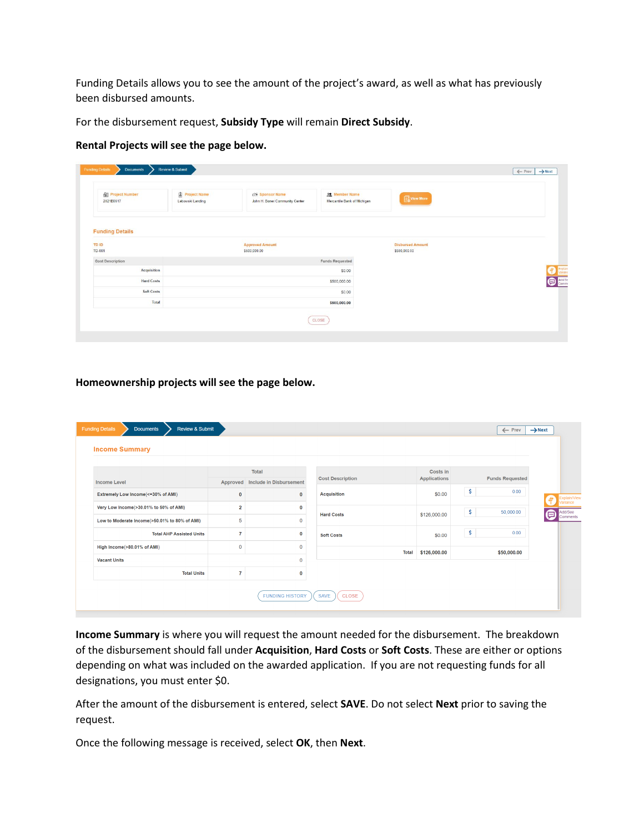Funding Details allows you to see the amount of the project's award, as well as what has previously been disbursed amounts.

For the disbursement request, **Subsidy Type** will remain **Direct Subsidy**.

#### **Rental Projects will see the page below.**

| <b>All Project Number</b><br>2021B0617 | Project Name<br>Lebowski Landing | 25 Sponsor Name<br>John H. Boner Community Center | Of Member Name<br>Mercantile Bank of Michigan | View More                               |  |
|----------------------------------------|----------------------------------|---------------------------------------------------|-----------------------------------------------|-----------------------------------------|--|
| <b>Funding Details</b>                 |                                  |                                                   |                                               |                                         |  |
| <b>TD ID</b><br>TD-001                 |                                  | <b>Approved Amount</b><br>\$500,000.00            |                                               | <b>Disbursed Amount</b><br>\$500,000.00 |  |
| <b>Cost Description</b>                |                                  |                                                   | <b>Funds Requested</b>                        |                                         |  |
| Acquisition                            |                                  |                                                   | \$0.00                                        |                                         |  |
| <b>Hard Costs</b>                      |                                  |                                                   | \$500,000.00                                  |                                         |  |
| <b>Soft Costs</b>                      |                                  |                                                   | \$0.00                                        |                                         |  |
| Total                                  |                                  |                                                   | \$500,000.00                                  |                                         |  |

**Homeownership projects will see the page below.**

| <b>Income Level</b>                           |                | <b>Total</b><br>Approved Include in Disbursement | <b>Cost Description</b> |              | Costs in<br><b>Applications</b> | <b>Funds Requested</b> |                          |
|-----------------------------------------------|----------------|--------------------------------------------------|-------------------------|--------------|---------------------------------|------------------------|--------------------------|
| Extremely Low Income(<=30% of AMI)            | $\bf{0}$       | $\mathbf 0$                                      | <b>Acquisition</b>      |              | \$0.00                          | \$<br>0.00             |                          |
| Very Low Income(>30.01% to 50% of AMI)        | $\overline{2}$ | 0                                                |                         |              |                                 |                        | Explain/View<br>æ        |
| Low to Moderate Income(>50.01% to 80% of AMI) | 5              | $\mathbf{0}$                                     | <b>Hard Costs</b>       |              | \$126,000.00                    | \$<br>50,000.00        | Add/See<br>画<br>Comments |
| <b>Total AHP Assisted Units</b>               | $\overline{7}$ | 0                                                | <b>Soft Costs</b>       |              | \$0.00                          | \$<br>0.00             |                          |
| High Income(>80.01% of AMI)                   | $\mathbf 0$    | $\mathbf 0$                                      |                         |              |                                 |                        |                          |
| <b>Vacant Units</b>                           |                | $\mathbf 0$                                      |                         | <b>Total</b> | \$126,000.00                    | \$50,000.00            |                          |
| <b>Total Units</b>                            | $\overline{7}$ | 0                                                |                         |              |                                 |                        |                          |

**Income Summary** is where you will request the amount needed for the disbursement. The breakdown of the disbursement should fall under **Acquisition**, **Hard Costs** or **Soft Costs**. These are either or options depending on what was included on the awarded application. If you are not requesting funds for all designations, you must enter \$0.

After the amount of the disbursement is entered, select **SAVE**. Do not select **Next** prior to saving the request.

Once the following message is received, select **OK**, then **Next**.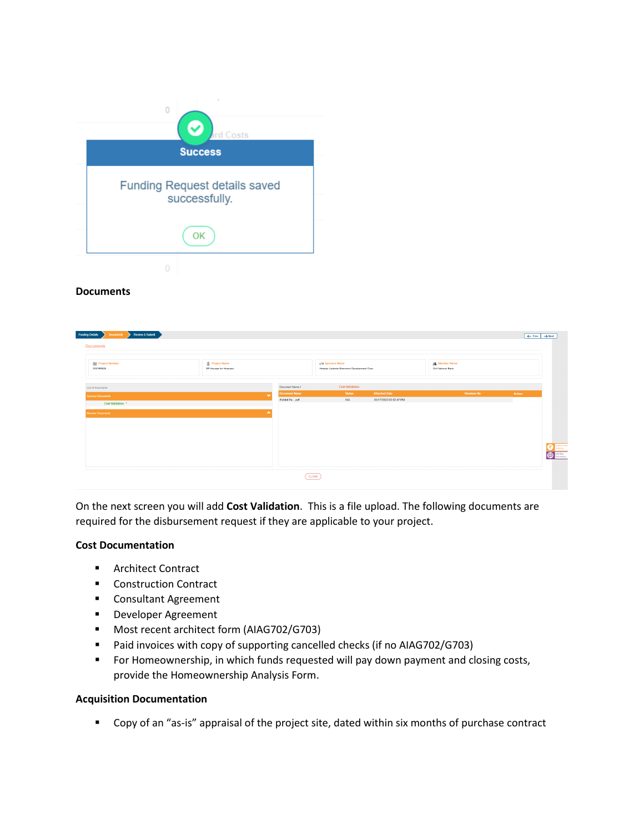

#### **Documents**

| <b>All</b> Project Number<br>202180529 | <b>D</b> Project Name<br>EP Houses for Hooslers |                      | <b>25 Sponsor Name</b><br>Hoosler Uplands Economic Development Corp. |                        | 01 Member Name<br>Old National Bank |        |
|----------------------------------------|-------------------------------------------------|----------------------|----------------------------------------------------------------------|------------------------|-------------------------------------|--------|
| List of documents                      |                                                 | Document Name :      | <b>Cost Validation</b>                                               |                        |                                     |        |
| Sponsor Documents                      |                                                 | <b>Document Name</b> | <b>Status</b>                                                        | <b>Attached Date</b>   | <b>Decision By</b>                  | Action |
| Cost Validation *                      |                                                 | Exhibit Pa pdf       | N/A                                                                  | 03/17/2022 02:02:47 PM |                                     |        |
| Member Documents                       |                                                 | ۰                    |                                                                      |                        |                                     |        |
|                                        |                                                 |                      |                                                                      |                        |                                     |        |
|                                        |                                                 |                      |                                                                      |                        |                                     |        |
|                                        |                                                 |                      |                                                                      |                        |                                     |        |
|                                        |                                                 |                      |                                                                      |                        |                                     |        |
|                                        |                                                 |                      |                                                                      |                        |                                     |        |
|                                        |                                                 |                      |                                                                      |                        |                                     |        |

On the next screen you will add **Cost Validation**. This is a file upload. The following documents are required for the disbursement request if they are applicable to your project.

#### **Cost Documentation**

- **Architect Contract**
- **Construction Contract**
- **E** Consultant Agreement
- **Developer Agreement**
- Most recent architect form (AIAG702/G703)
- Paid invoices with copy of supporting cancelled checks (if no AIAG702/G703)
- **F** For Homeownership, in which funds requested will pay down payment and closing costs, provide the Homeownership Analysis Form.

#### **Acquisition Documentation**

**•** Copy of an "as-is" appraisal of the project site, dated within six months of purchase contract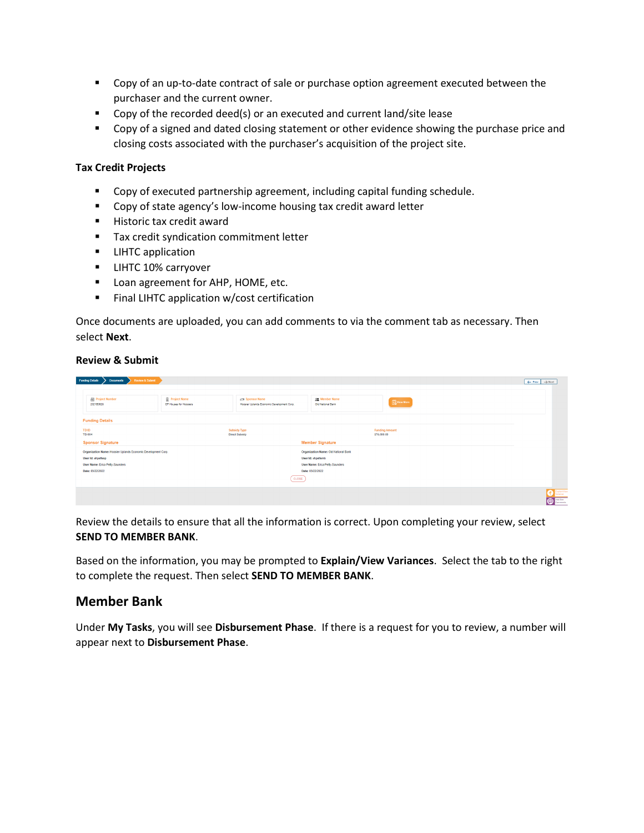- **Copy of an up-to-date contract of sale or purchase option agreement executed between the** purchaser and the current owner.
- Copy of the recorded deed(s) or an executed and current land/site lease
- **Copy of a signed and dated closing statement or other evidence showing the purchase price and** closing costs associated with the purchaser's acquisition of the project site.

### **Tax Credit Projects**

- **•** Copy of executed partnership agreement, including capital funding schedule.
- **Copy of state agency's low-income housing tax credit award letter**
- **Historic tax credit award**
- Tax credit syndication commitment letter
- **LIHTC application**
- **LIHTC 10% carryover**
- **Loan agreement for AHP, HOME, etc.**
- **Final LIHTC application w/cost certification**

Once documents are uploaded, you can add comments to via the comment tab as necessary. Then select **Next**.

#### **Review & Submit**

| Review & Submit<br><b>Funding Details</b><br><b>Documents</b> |                                                 |                                                               |                                            |                                      | $\leftarrow$ Prev $\rightarrow$ Next |
|---------------------------------------------------------------|-------------------------------------------------|---------------------------------------------------------------|--------------------------------------------|--------------------------------------|--------------------------------------|
| <b>部 Project Number</b><br>202180629                          | <b>图 Project Name</b><br>EP Houses for Hoosiers | c% Sponsor Name<br>Hoosier Uplands Economic Development Corp. | <b>OR</b> Member Name<br>Old National Bank | <b>New More</b>                      |                                      |
| <b>Funding Details</b>                                        |                                                 |                                                               |                                            |                                      |                                      |
| TD ID<br>TD-004                                               |                                                 | Subsidy Type<br><b>Direct Subsidy</b>                         |                                            | <b>Funding Amount</b><br>\$76,000.00 |                                      |
| <b>Sponsor Signature</b>                                      |                                                 |                                                               | <b>Member Signature</b>                    |                                      |                                      |
| Organization Name: Hoosier Uplands Economic Development Corp. |                                                 |                                                               | Organization Name: Old National Bank       |                                      |                                      |
| User Id: ahpettesp                                            |                                                 |                                                               | User Id: ahpettemb                         |                                      |                                      |
| User Name: Erica Petty-Saunders                               |                                                 |                                                               | User Name: Erica Petty-Saunders            |                                      |                                      |
| Date: 03/22/2022                                              |                                                 |                                                               | Date: 03/22/2022                           |                                      |                                      |
|                                                               |                                                 | CLOSE                                                         |                                            |                                      |                                      |
|                                                               |                                                 |                                                               |                                            |                                      | Explain/Vew<br><sup>AMERO</sup>      |

Review the details to ensure that all the information is correct. Upon completing your review, select **SEND TO MEMBER BANK**.

Based on the information, you may be prompted to **Explain/View Variances**. Select the tab to the right to complete the request. Then select **SEND TO MEMBER BANK**.

## **Member Bank**

Under **My Tasks**, you will see **Disbursement Phase**. If there is a request for you to review, a number will appear next to **Disbursement Phase**.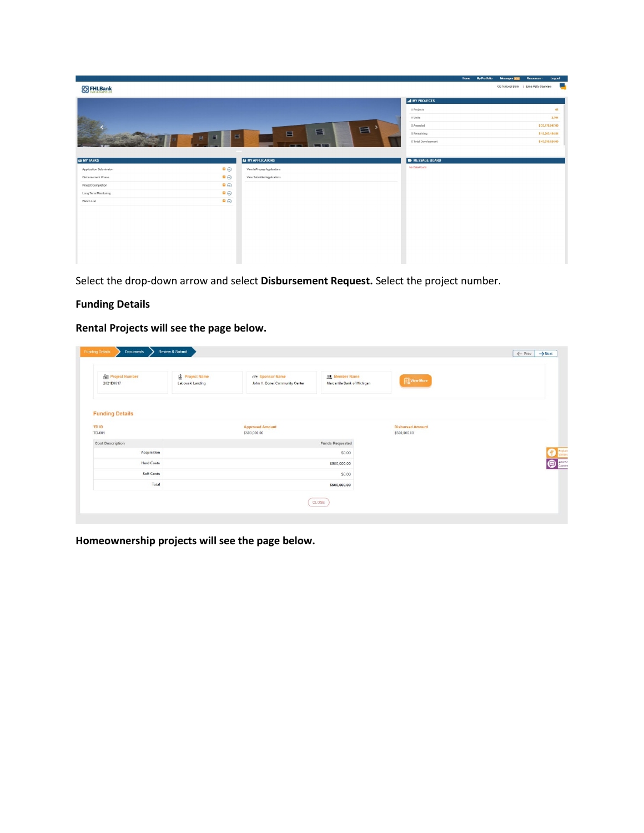|                        |                               |                             |                        | Home My Portfolio | Messages <b>HIM</b>                      | Resources <sup>*</sup> | Logout           |
|------------------------|-------------------------------|-----------------------------|------------------------|-------------------|------------------------------------------|------------------------|------------------|
| <b>88 FHLBank</b>      |                               |                             |                        |                   | Old National Bank   Erica Petty-Saunders |                        | <b>September</b> |
|                        |                               |                             | al MY PROJECTS         |                   |                                          |                        |                  |
|                        |                               |                             |                        |                   |                                          |                        |                  |
|                        |                               |                             | # Projects             |                   |                                          |                        | 65               |
|                        |                               |                             | # Units                |                   |                                          |                        | 2,704            |
|                        |                               | 昌                           | \$ Awarded             |                   |                                          |                        | \$33,176,947.00  |
|                        | $\blacksquare$<br>Ξ<br>$\Box$ | 畐<br>目                      | \$ Remaining           |                   |                                          |                        | \$12,203,184.84  |
|                        |                               |                             | \$ Total Development   |                   |                                          |                        | \$43,930,924.00  |
|                        |                               |                             |                        |                   |                                          |                        |                  |
| <b>A</b> MY TASKS      |                               | <b>A</b> MY APPLICATONS     | <b>E</b> MESSAGE BOARD |                   |                                          |                        |                  |
| Application Submission | $\bullet$                     | View InProcess Applications | No Data Found          |                   |                                          |                        |                  |
| Disbursement Phase     | $\bullet$                     | View Submitted Applications |                        |                   |                                          |                        |                  |
| Project Completion     | $\bullet$                     |                             |                        |                   |                                          |                        |                  |
| Long Term Monitoring   | $\bullet$                     |                             |                        |                   |                                          |                        |                  |
| Watch List             | $\bullet$                     |                             |                        |                   |                                          |                        |                  |
|                        |                               |                             |                        |                   |                                          |                        |                  |
|                        |                               |                             |                        |                   |                                          |                        |                  |
|                        |                               |                             |                        |                   |                                          |                        |                  |
|                        |                               |                             |                        |                   |                                          |                        |                  |
|                        |                               |                             |                        |                   |                                          |                        |                  |
|                        |                               |                             |                        |                   |                                          |                        |                  |
|                        |                               |                             |                        |                   |                                          |                        |                  |
|                        |                               |                             |                        |                   |                                          |                        |                  |

Select the drop-down arrow and select **Disbursement Request.** Select the project number.

## **Funding Details**

**Rental Projects will see the page below.**

| <b>NO</b> Project Number<br>2021B0617 | Project Name<br>Lebowski Landing | 25 Sponsor Name<br>John H. Boner Community Center | Of Member Name<br>Mercantile Bank of Michigan | View More                               |           |
|---------------------------------------|----------------------------------|---------------------------------------------------|-----------------------------------------------|-----------------------------------------|-----------|
| <b>Funding Details</b>                |                                  |                                                   |                                               |                                         |           |
| <b>TD ID</b><br>TD-001                |                                  | <b>Approved Amount</b><br>\$500,000.00            |                                               | <b>Disbursed Amount</b><br>\$500,000.00 |           |
| <b>Cost Description</b>               |                                  |                                                   | <b>Funds Requested</b>                        |                                         |           |
| <b>Acquisition</b>                    |                                  |                                                   | \$0.00                                        |                                         |           |
| <b>Hard Costs</b>                     |                                  |                                                   | \$500,000.00                                  |                                         | $\bullet$ |
| <b>Soft Costs</b>                     |                                  |                                                   | \$0.00                                        |                                         |           |
| Total                                 |                                  |                                                   | \$500,000.00                                  |                                         |           |

**Homeownership projects will see the page below.**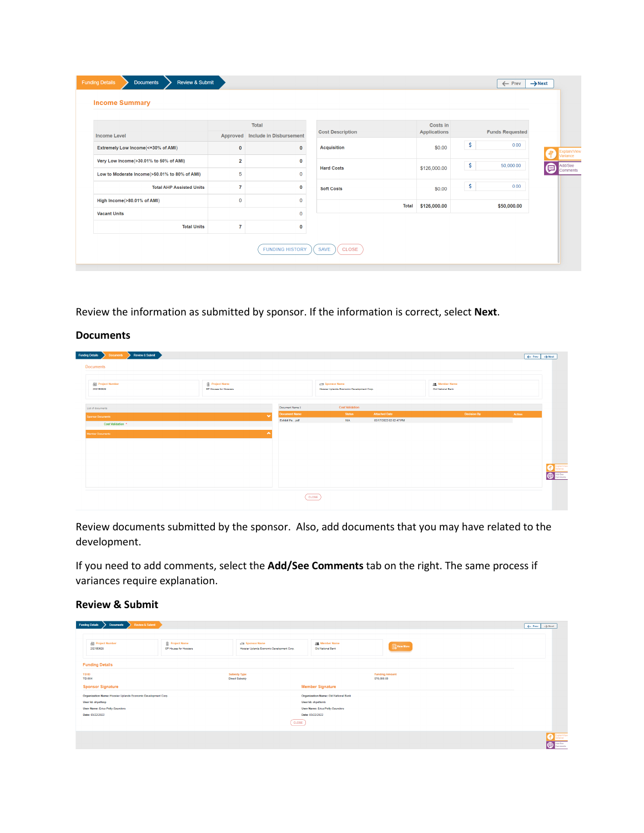|                                               |                         | <b>Total</b>                     |                         | Costs in     |                        |                               |
|-----------------------------------------------|-------------------------|----------------------------------|-------------------------|--------------|------------------------|-------------------------------|
| <b>Income Level</b>                           |                         | Approved Include in Disbursement | <b>Cost Description</b> | Applications | <b>Funds Requested</b> |                               |
| Extremely Low Income(<=30% of AMI)            | $\bf{0}$                | $\mathbf{0}$                     | <b>Acquisition</b>      | \$0.00       | \$<br>0.00             |                               |
| Very Low Income(>30.01% to 50% of AMI)        |                         |                                  |                         |              |                        | Explain/View<br>Variance<br># |
|                                               | $\overline{\mathbf{2}}$ | 0                                | <b>Hard Costs</b>       | \$126,000.00 | \$<br>50,000.00        | ▣<br><b>Comments</b>          |
| Low to Moderate Income(>50.01% to 80% of AMI) | 5                       | $\mathbf{0}$                     |                         |              |                        |                               |
| <b>Total AHP Assisted Units</b>               | $\overline{7}$          | 0                                | <b>Soft Costs</b>       | \$0.00       | \$<br>0.00             |                               |
| High Income(>80.01% of AMI)                   | $\mathbf{0}$            | $\mathbf 0$                      | <b>Total</b>            | \$126,000.00 | \$50,000.00            |                               |
| <b>Vacant Units</b>                           |                         | $\Omega$                         |                         |              |                        |                               |
| <b>Total Units</b>                            | $\overline{7}$          | 0                                |                         |              |                        |                               |

Review the information as submitted by sponsor. If the information is correct, select **Next**.

#### **Documents**

| Documents Review & Submit<br>Funding Details<br><b>Documents</b> |                                               |                      |                                                                      |                        |                                            |        | $\leftarrow$ Prev $\rightarrow$ Next |
|------------------------------------------------------------------|-----------------------------------------------|----------------------|----------------------------------------------------------------------|------------------------|--------------------------------------------|--------|--------------------------------------|
| <b>Rill</b> Project Number<br>202180829                          | <b>Project Name</b><br>EP Houses for Hooslers |                      | <b>RE Sponsor Name</b><br>Hoosler Uplands Economic Development Corp. |                        | <b>22</b> Member Name<br>Old National Bank |        |                                      |
| List of documents                                                |                                               | Document Name 1      | <b>Cost Validation</b>                                               |                        |                                            |        |                                      |
| Sponsor Documents                                                |                                               | <b>Document Name</b> | <b>Status</b>                                                        | <b>Attached Date</b>   | <b>Decision By</b>                         | Action |                                      |
| Cost Validation *                                                |                                               | Exhibit Pa pdf       | N/A                                                                  | 03/17/2022 02:02:47 PM |                                            |        |                                      |
| Member Documents                                                 |                                               | ۰                    |                                                                      |                        |                                            |        | <b>Collection</b><br>AddiSee         |
|                                                                  |                                               |                      | CLOSE                                                                |                        |                                            |        |                                      |

Review documents submitted by the sponsor. Also, add documents that you may have related to the development.

If you need to add comments, select the **Add/See Comments** tab on the right. The same process if variances require explanation.

#### **Review & Submit**

| <b>Documents</b><br><b>Funding Details</b>                    | Review & Submit                               |                                                                       |                                             |                                      | $\leftarrow$ Prev $\rightarrow$ Next |
|---------------------------------------------------------------|-----------------------------------------------|-----------------------------------------------------------------------|---------------------------------------------|--------------------------------------|--------------------------------------|
| <b>All Project Number</b><br>2021B0029                        | <b>Project Name</b><br>EP Houses for Hooslers | <b>129 Sponsor Name</b><br>Hoosier Uplands Economic Development Corp. | <b>22</b> Member Name<br>Old National Bank  | <b>New More</b>                      |                                      |
| <b>Funding Details</b>                                        |                                               |                                                                       |                                             |                                      |                                      |
| TD ID<br>TD-004                                               |                                               | <b>Subsidy Type</b><br><b>Direct Subsidy</b>                          |                                             | <b>Funding Amount</b><br>\$76,000.00 |                                      |
| <b>Sponsor Signature</b>                                      |                                               |                                                                       | <b>Member Signature</b>                     |                                      |                                      |
| Organization Name: Hoosier Uplands Economic Development Corp. |                                               |                                                                       | <b>Organization Name: Old National Bank</b> |                                      |                                      |
| User Id: ahpettesp                                            |                                               |                                                                       | User Id: ahpettemb                          |                                      |                                      |
| User Name: Erica Petty-Saunders                               |                                               |                                                                       | User Name: Erica Petty-Saunders             |                                      |                                      |
| Date: 03/22/2022                                              |                                               |                                                                       | Date: 03/22/2022                            |                                      |                                      |
|                                                               |                                               | CLOSE                                                                 |                                             |                                      |                                      |
|                                                               |                                               |                                                                       |                                             |                                      | <b>P</b> Explain View<br>$\bullet$   |